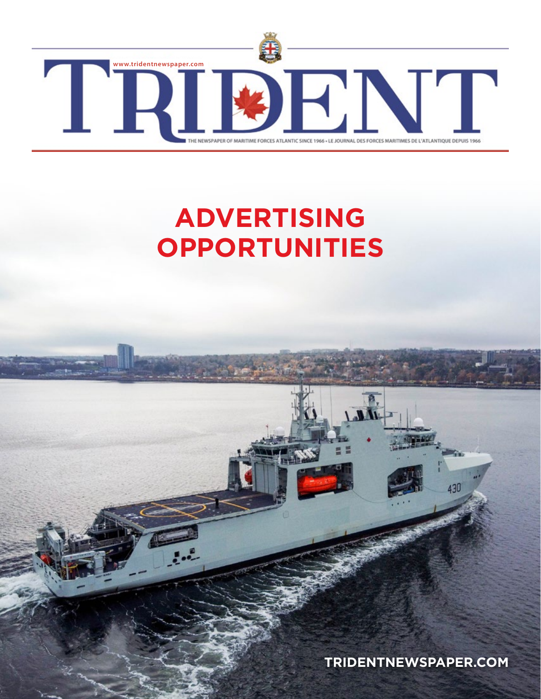

# **ADVERTISING OPPORTUNITIES**

**[TRIDENTNEWSPAPER.COM](http://tridentnewspaper.com)**

 $\overline{L}$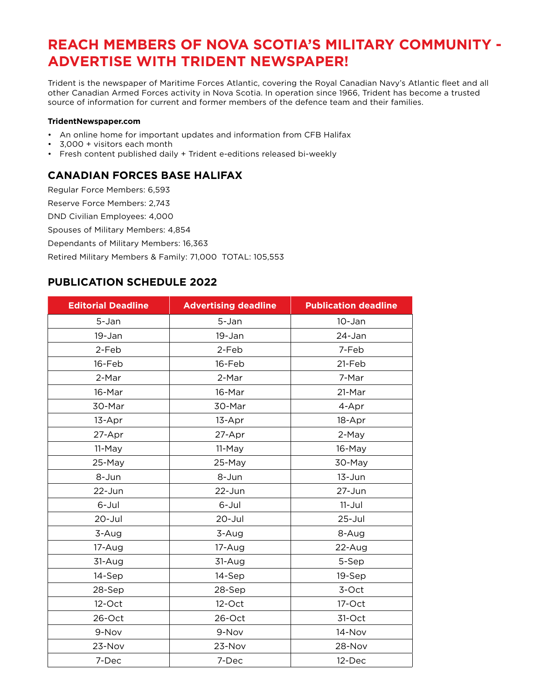## **REACH MEMBERS OF NOVA SCOTIA'S MILITARY COMMUNITY - ADVERTISE WITH TRIDENT NEWSPAPER!**

Trident is the newspaper of Maritime Forces Atlantic, covering the Royal Canadian Navy's Atlantic fleet and all other Canadian Armed Forces activity in Nova Scotia. In operation since 1966, Trident has become a trusted source of information for current and former members of the defence team and their families.

#### **TridentNewspaper.com**

- An online home for important updates and information from CFB Halifax
- 3,000 + visitors each month
- Fresh content published daily + Trident e-editions released bi-weekly

#### **CANADIAN FORCES BASE HALIFAX**

Regular Force Members: 6,593

Reserve Force Members: 2,743

DND Civilian Employees: 4,000

Spouses of Military Members: 4,854

Dependants of Military Members: 16,363

Retired Military Members & Family: 71,000 TOTAL: 105,553

#### **PUBLICATION SCHEDULE 2022**

| <b>Editorial Deadline</b> | <b>Advertising deadline</b> | <b>Publication deadline</b> |
|---------------------------|-----------------------------|-----------------------------|
| 5-Jan                     | 5-Jan                       | $10 - Jan$                  |
| 19-Jan                    | 19-Jan                      | 24-Jan                      |
| 2-Feb                     | 2-Feb                       | 7-Feb                       |
| 16-Feb                    | 16-Feb                      | 21-Feb                      |
| 2-Mar                     | 2-Mar                       | 7-Mar                       |
| 16-Mar                    | 16-Mar                      | 21-Mar                      |
| 30-Mar                    | 30-Mar                      | 4-Apr                       |
| 13-Apr                    | 13-Apr                      | 18-Apr                      |
| 27-Apr                    | 27-Apr                      | 2-May                       |
| 11-May                    | 11-May                      | 16-May                      |
| 25-May                    | 25-May                      | 30-May                      |
| 8-Jun                     | 8-Jun                       | $13 - Jun$                  |
| $22$ -Jun                 | $22$ -Jun                   | 27-Jun                      |
| 6-Jul                     | 6-Jul                       | $11 -$ Jul                  |
| $20 -$ Jul                | $20 -$ Jul                  | $25 -$ Jul                  |
| 3-Aug                     | 3-Aug                       | 8-Aug                       |
| 17-Aug                    | 17-Aug                      | 22-Aug                      |
| 31-Aug                    | 31-Aug                      | 5-Sep                       |
| 14-Sep                    | 14-Sep                      | 19-Sep                      |
| 28-Sep                    | 28-Sep                      | 3-Oct                       |
| $12$ -Oct                 | $12$ -Oct                   | 17-Oct                      |
| 26-Oct                    | 26-Oct                      | 31-Oct                      |
| 9-Nov                     | 9-Nov                       | 14-Nov                      |
| 23-Nov                    | 23-Nov                      | 28-Nov                      |
| 7-Dec                     | 7-Dec                       | 12-Dec                      |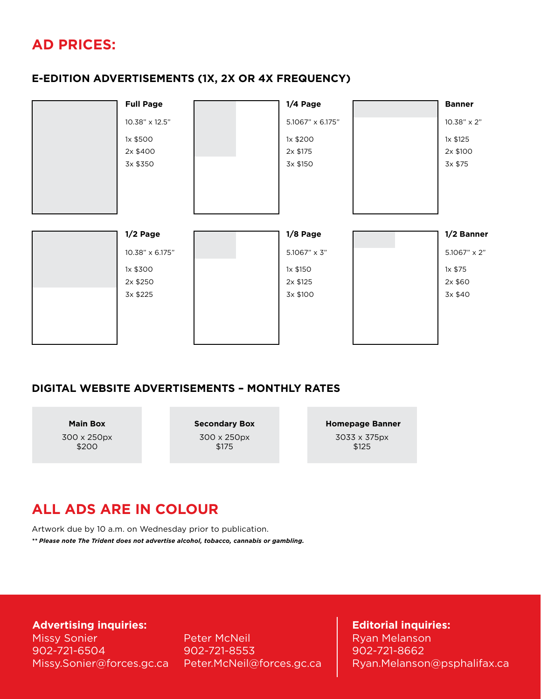## **AD PRICES:**

#### **E-EDITION ADVERTISEMENTS (1X, 2X OR 4X FREQUENCY)**

| <b>Full Page</b>                 | $1/4$ Page                       | <b>Banner</b>                   |
|----------------------------------|----------------------------------|---------------------------------|
| 10.38" x 12.5"                   | 5.1067" x 6.175"                 | 10.38" x 2"                     |
| 1x \$500<br>2x \$400<br>3x \$350 | 1x \$200<br>2x \$175<br>3x \$150 | 1x \$125<br>2x \$100<br>3x \$75 |
|                                  |                                  |                                 |
| $1/2$ Page                       | $1/8$ Page                       |                                 |
| 10.38" x 6.175"                  | 5.1067" x 3"                     | 1/2 Banner<br>5.1067" x 2"      |

### **DIGITAL WEBSITE ADVERTISEMENTS – MONTHLY RATES**

**Main Box**

300 x 250px \$200

**Secondary Box** 300 x 250px \$175

 **Homepage Banner** 3033 x 375px \$125

## **ALL ADS ARE IN COLOUR**

Artwork due by 10 a.m. on Wednesday prior to publication.

*\*\* Please note The Trident does not advertise alcohol, tobacco, cannabis or gambling.*

**Advertising inquiries:**

Missy Sonier 902-721-6504 Missy.Sonier@forces.gc.ca Peter McNeil 902-721-8553 Peter.McNeil@forces.gc.ca

#### **Editorial inquiries:**

Ryan Melanson 902-721-8662 Ryan.Melanson@psphalifax.ca